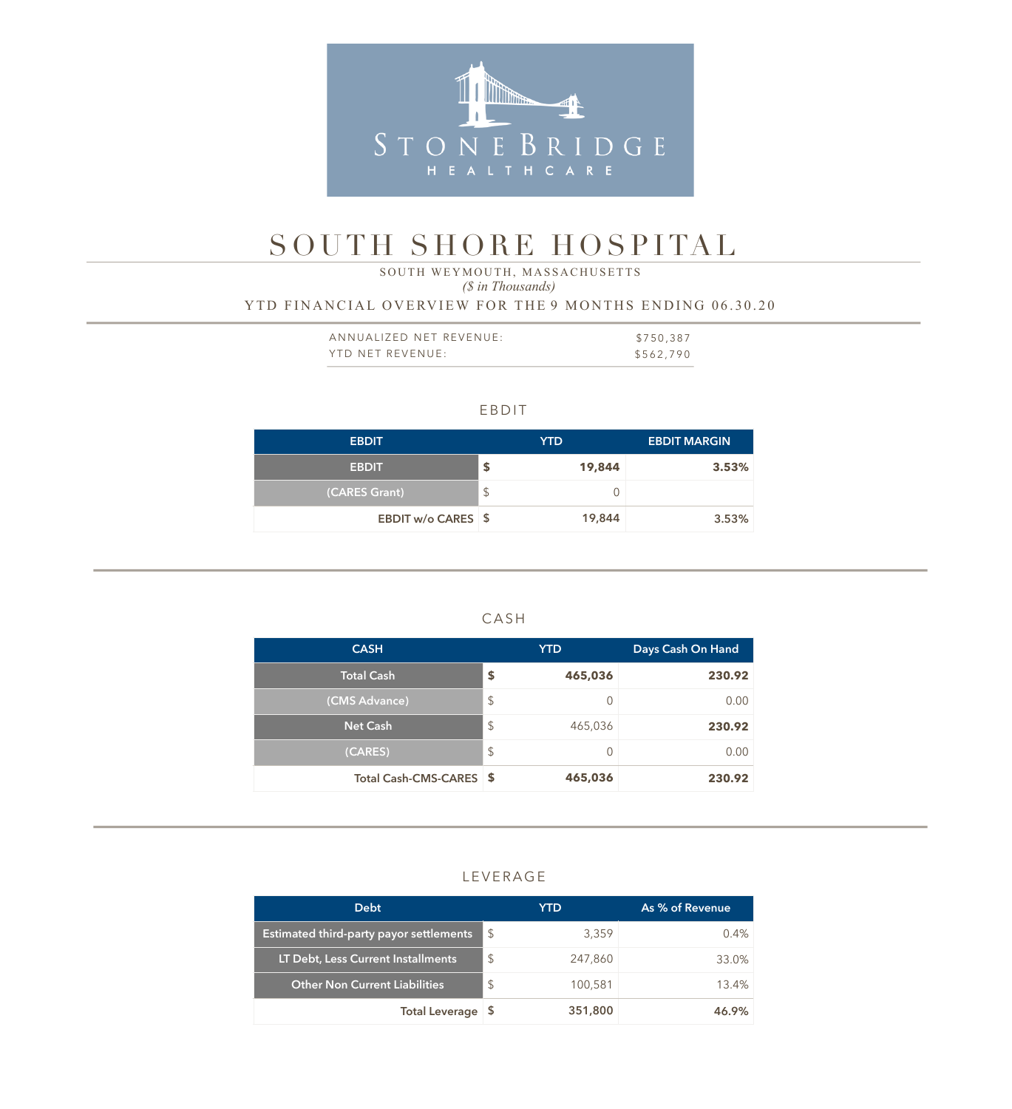

# SOUTH SHORE HOSPITAL

 *(\$ in Thousands)* SOUTH WEYMOUTH, MASSACHUSETTS

YTD FINANCIAL OVERVIEW FOR THE 9 MONTHS ENDING 06.30.20

| ANNUALIZED NET REVENUE: | \$750,387 |
|-------------------------|-----------|
| YTD NET REVENUE:        | \$562,790 |

|  | ۰. |  |
|--|----|--|
|  |    |  |

| <b>EBDIT</b>       |                            | YTD    | <b>EBDIT MARGIN</b> |
|--------------------|----------------------------|--------|---------------------|
| <b>EBDIT</b>       | \$                         | 19,844 | 3.53%               |
| (CARES Grant)      | $\boldsymbol{\mathsf{\$}}$ | 0      |                     |
| EBDIT w/o CARES \$ |                            | 19,844 | 3.53%               |

| <b>CASH</b>             | <b>YTD</b>    | Days Cash On Hand |
|-------------------------|---------------|-------------------|
| <b>Total Cash</b>       | \$<br>465,036 | 230.92            |
| (CMS Advance)           | \$            | 0.00              |
| <b>Net Cash</b>         | \$<br>465,036 | 230.92            |
| (CARES)                 | \$            | 0.00              |
| Total Cash-CMS-CARES \$ | 465,036       | 230.92            |

# LEVERAGE

| <b>Debt</b>                                    |                | YTD     | As % of Revenue |
|------------------------------------------------|----------------|---------|-----------------|
| <b>Estimated third-party payor settlements</b> | \$             | 3,359   | $0.4\%$         |
| LT Debt, Less Current Installments             | $\mathfrak{L}$ | 247,860 | 33.0%           |
| <b>Other Non Current Liabilities</b>           | $\mathfrak{L}$ | 100,581 | 13.4%           |
| <b>Total Leverage</b>                          | - 5            | 351,800 | 46.9%           |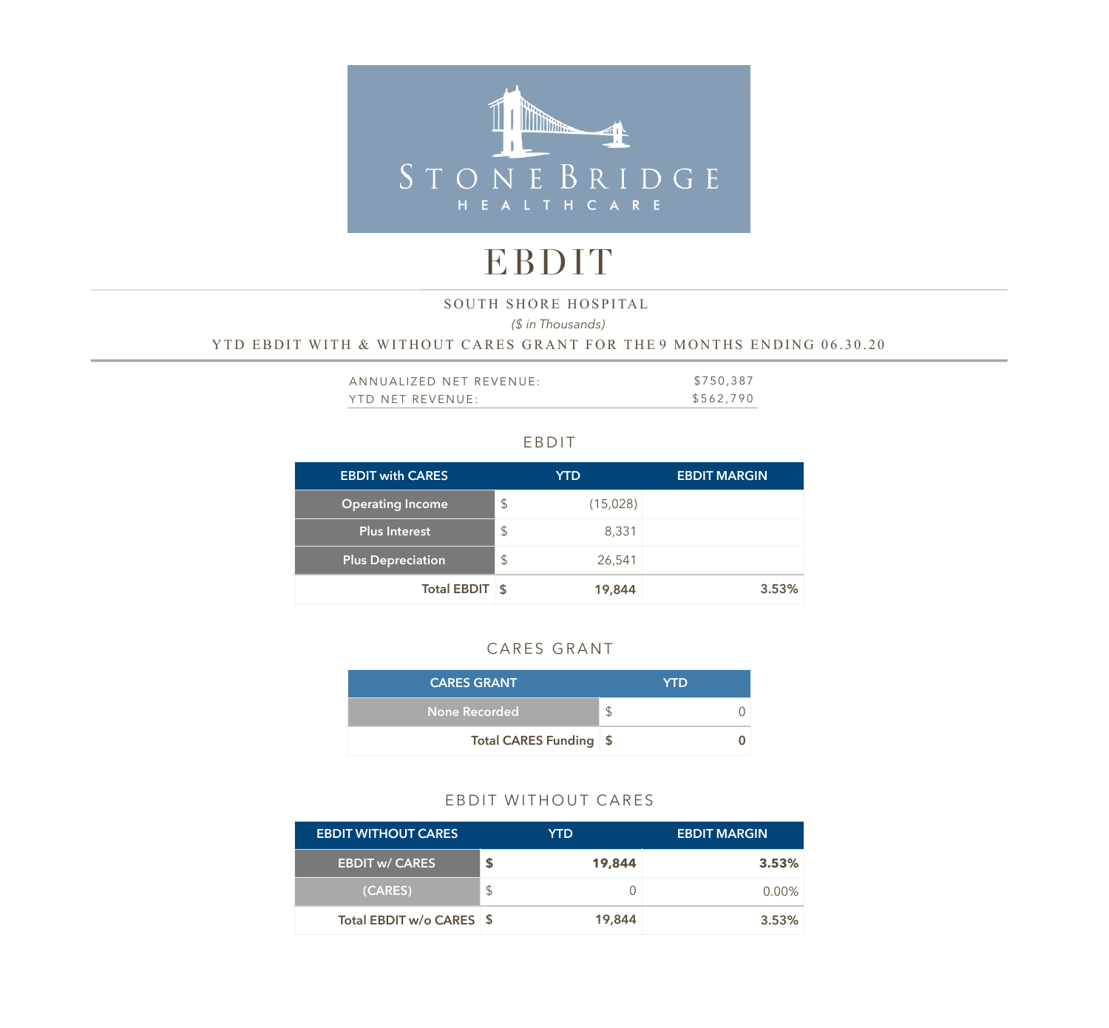

# EBDIT

SOUTH SHORE HOSPITAL

*(\$ in Thousands)* 

YTD EBDIT WITH & WITHOUT CARES GRANT FOR THE 9 MONTHS ENDING 06.30.20

| ANNUALIZED NET REVENUE: | \$750,387 |
|-------------------------|-----------|
| YTD NET REVENUE:        | \$562,790 |

#### EBDIT

| <b>EBDIT with CARES</b>  |               | <b>YTD</b> | <b>EBDIT MARGIN</b> |
|--------------------------|---------------|------------|---------------------|
| <b>Operating Income</b>  | $\mathcal{L}$ | (15,028)   |                     |
| <b>Plus Interest</b>     | $\mathcal{S}$ | 8,331      |                     |
| <b>Plus Depreciation</b> | $\mathcal{L}$ | 26,541     |                     |
| Total EBDIT \$           |               | 19,844     | 3.53%               |

# CARES GRANT

| <b>CARES GRANT</b>     | <b>YTD</b> |
|------------------------|------------|
| None Recorded          | \$         |
| Total CARES Funding \$ |            |

# EBDIT WITHOUT CARES

| <b>EBDIT WITHOUT CARES</b> | YTD    | <b>EBDIT MARGIN</b> |
|----------------------------|--------|---------------------|
| <b>EBDIT w/ CARES</b>      | 19,844 | 3.53%               |
| (CARES)                    | \$     | $0.00\%$            |
| Total EBDIT w/o CARES \$   | 19,844 | 3.53%               |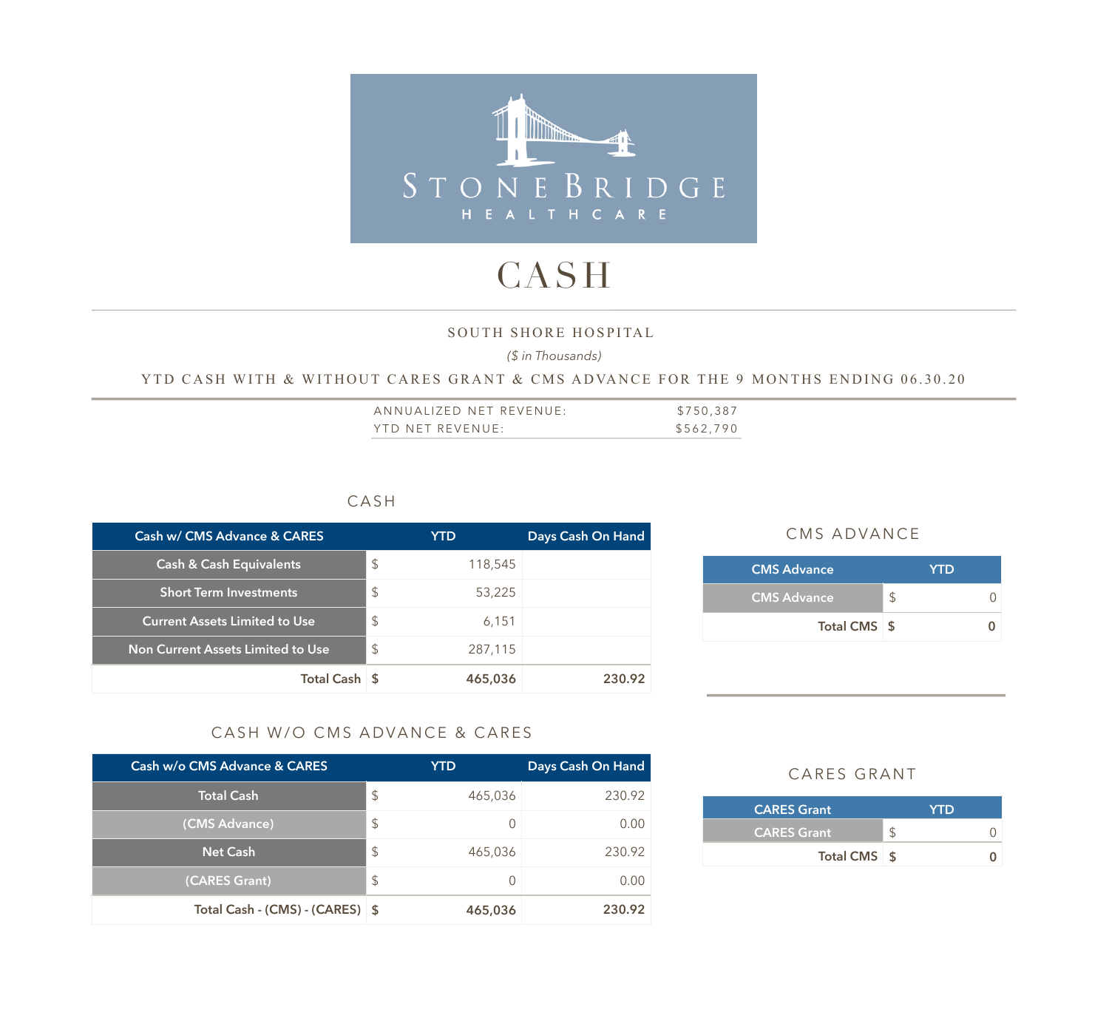

# CASH

#### SOUTH SHORE HOSPITAL

*(\$ in Thousands)* 

#### YTD CASH WITH & WITHOUT CARES GRANT & CMS ADVANCE FOR THE 9 MONTHS ENDING 06.30.20

| ANNUALIZED NET REVENUE: | \$750,387 |
|-------------------------|-----------|
| YTD NET REVENUE:        | \$562,790 |

### CASH

| Cash w/ CMS Advance & CARES          | YTD                     | Days Cash On Hand |
|--------------------------------------|-------------------------|-------------------|
| <b>Cash &amp; Cash Equivalents</b>   | \$<br>118,545           |                   |
| <b>Short Term Investments</b>        | $\mathcal{L}$<br>53,225 |                   |
| <b>Current Assets Limited to Use</b> | \$<br>6,151             |                   |
| Non Current Assets Limited to Use    | \$<br>287,115           |                   |
| Total Cash \$                        | 465,036                 | 230.92            |

#### CMS ADVANCE

| <b>YTD</b> |
|------------|
|            |
|            |
|            |

### CASH W/O CMS ADVANCE & CARES

| Cash w/o CMS Advance & CARES    | YTD           | Days Cash On Hand |
|---------------------------------|---------------|-------------------|
| <b>Total Cash</b>               | \$<br>465,036 | 230.92            |
| (CMS Advance)                   | \$            | 0.00              |
| <b>Net Cash</b>                 | \$<br>465,036 | 230.92            |
| (CARES Grant)                   | \$            | 0.00              |
| Total Cash - (CMS) - (CARES) \$ | 465,036       | 230.92            |

### CARES GRANT

| <b>CARES Grant</b> | <b>YTD</b> |
|--------------------|------------|
| <b>CARES Grant</b> |            |
| Total CMS \$       |            |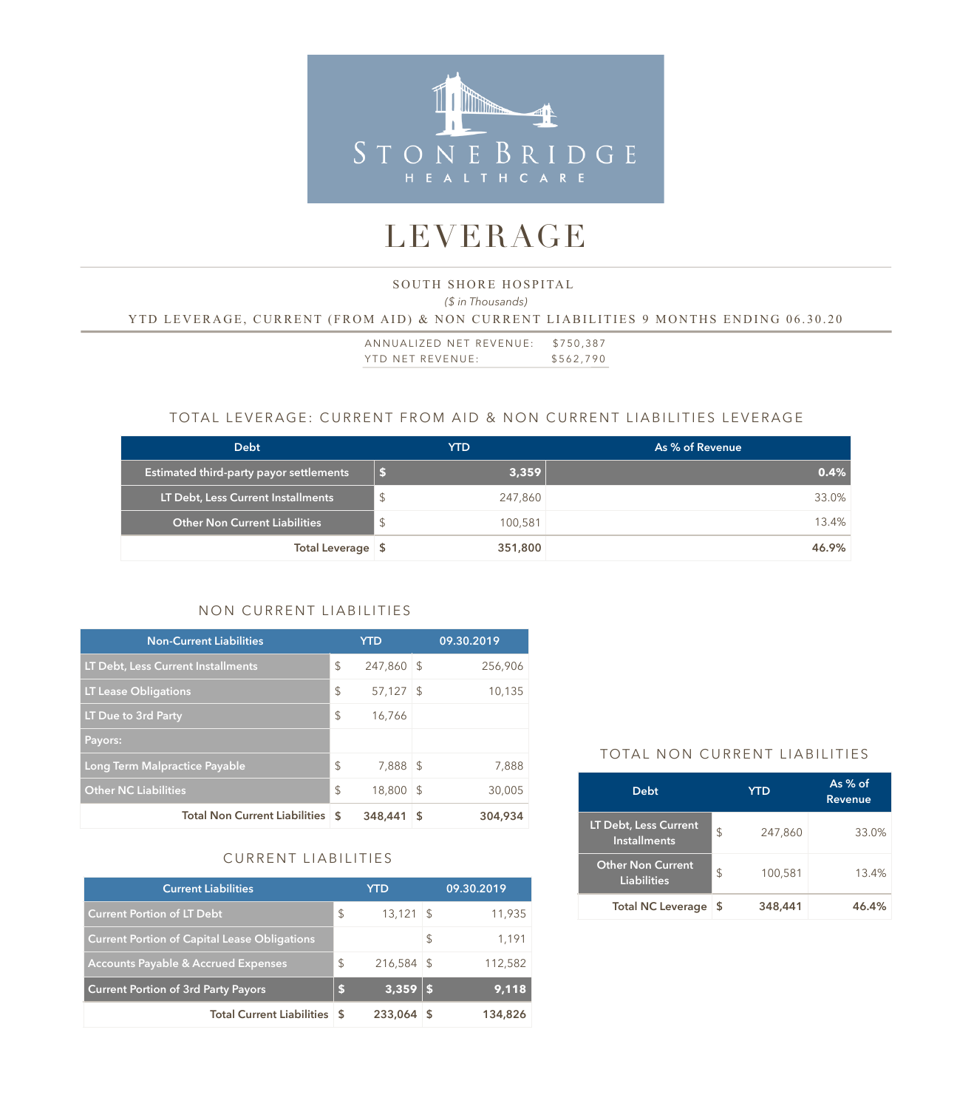

# LEVERAGE

# *(\$ in Thousands)*  SOUTH SHORE HOSPITAL YTD LEVERAGE, CURRENT (FROM AID) & NON CURRENT LIABILITIES 9 MONTHS ENDING 06.30.20

ANNUALIZED NET REVENUE: \$750,387 YTD NET REVENUE: \$562,790

### TOTAL LEVERAGE: CURRENT FROM AID & NON CURRENT LIABILITIES LEVERAGE

| <b>Debt</b>                                    | YTD          | As % of Revenue |
|------------------------------------------------|--------------|-----------------|
| <b>Estimated third-party payor settlements</b> | 3,359        | 0.4%            |
| LT Debt, Less Current Installments             | S<br>247,860 | 33.0%           |
| <b>Other Non Current Liabilities</b>           | 100,581      | 13.4%           |
| Total Leverage \$                              | 351,800      | 46.9%           |

# NON CURRENT LIABILITIES

| <b>Non-Current Liabilities</b>          |               | <b>YTD</b> |      | 09.30.2019 |
|-----------------------------------------|---------------|------------|------|------------|
| LT Debt, Less Current Installments      | \$            | 247,860 \$ |      | 256,906    |
| <b>LT Lease Obligations</b>             | \$            | 57,127     | - \$ | 10,135     |
| LT Due to 3rd Party                     | \$            | 16,766     |      |            |
| Payors:                                 |               |            |      |            |
| Long Term Malpractice Payable           | \$            | 7,888      | ∣\$  | 7,888      |
| <b>Other NC Liabilities</b>             | $\mathcal{L}$ | 18,800     | -S   | 30,005     |
| <b>Total Non Current Liabilities \$</b> |               | 348,441    | 5    | 304,934    |

# CURRENT LIABILITIES

| <b>Current Liabilities</b>                          |               | <b>YTD</b>   |   | 09.30.2019 |
|-----------------------------------------------------|---------------|--------------|---|------------|
| <b>Current Portion of LT Debt</b>                   | \$            | $13,121$ \$  |   | 11,935     |
| <b>Current Portion of Capital Lease Obligations</b> |               |              | S | 1,191      |
| <b>Accounts Payable &amp; Accrued Expenses</b>      | $\mathcal{S}$ | $216,584$ \$ |   | 112,582    |
| <b>Current Portion of 3rd Party Payors</b>          | ß.            | 3,359        |   | 9,118      |
| <b>Total Current Liabilities \$</b>                 |               | 233,064      |   | 134,826    |

#### TOTAL NON CURRENT LIABILITIES

| <b>Debt</b>                                         |    | <b>YTD</b> | As $%$ of<br><b>Revenue</b> |
|-----------------------------------------------------|----|------------|-----------------------------|
| <b>LT Debt, Less Current</b><br><b>Installments</b> | \$ | 247,860    | 33.0%                       |
| <b>Other Non Current</b><br>Liabilities             | \$ | 100,581    | 13.4%                       |
| <b>Total NC Leverage</b>                            | S  | 348,441    | 46.4%                       |